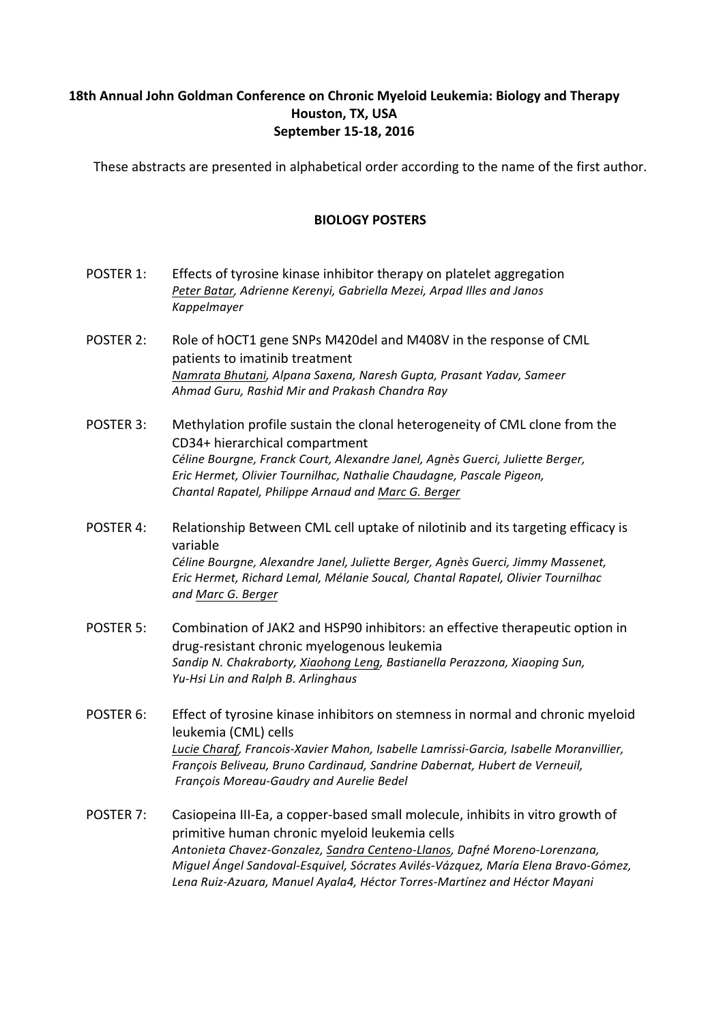## **18th Annual John Goldman Conference on Chronic Myeloid Leukemia: Biology and Therapy Houston, TX, USA September 15-18, 2016**

These abstracts are presented in alphabetical order according to the name of the first author.

## **BIOLOGY POSTERS**

- POSTER 1: Effects of tyrosine kinase inhibitor therapy on platelet aggregation Peter Batar, Adrienne Kerenyi, Gabriella Mezei, Arpad Illes and Janos *Kappelmayer*
- POSTER 2: Role of hOCT1 gene SNPs M420del and M408V in the response of CML patients to imatinib treatment *Namrata Bhutani, Alpana Saxena, Naresh Gupta, Prasant Yadav, Sameer Ahmad Guru, Rashid Mir and Prakash Chandra Ray*
- POSTER 3: Methylation profile sustain the clonal heterogeneity of CML clone from the CD34+ hierarchical compartment Céline Bourgne, Franck Court, Alexandre Janel, Agnès Guerci, Juliette Berger, *Eric Hermet, Olivier Tournilhac, Nathalie Chaudagne, Pascale Pigeon, Chantal Rapatel, Philippe Arnaud and Marc G. Berger*
- POSTER 4: Relationship Between CML cell uptake of nilotinib and its targeting efficacy is variable Céline Bourgne, Alexandre Janel, Juliette Berger, Agnès Guerci, Jimmy Massenet, *Eric Hermet, Richard Lemal, Mélanie Soucal, Chantal Rapatel, Olivier Tournilhac and Marc G. Berger*
- POSTER 5: Combination of JAK2 and HSP90 inhibitors: an effective therapeutic option in drug-resistant chronic myelogenous leukemia *Sandip N. Chakraborty, Xiaohong Leng, Bastianella Perazzona, Xiaoping Sun, Yu-Hsi Lin and Ralph B. Arlinghaus*
- POSTER 6: Effect of tyrosine kinase inhibitors on stemness in normal and chronic myeloid leukemia (CML) cells Lucie Charaf, Francois-Xavier Mahon, Isabelle Lamrissi-Garcia, Isabelle Moranvillier, *François Beliveau, Bruno Cardinaud, Sandrine Dabernat, Hubert de Verneuil, François Moreau-Gaudry and Aurelie Bedel*
- POSTER 7: Casiopeina III-Ea, a copper-based small molecule, inhibits in vitro growth of primitive human chronic myeloid leukemia cells *Antonieta Chavez-Gonzalez, Sandra Centeno-Llanos, Dafné Moreno-Lorenzana, Miguel Ángel Sandoval-Esquivel, Sócrates Avilés-Vázquez, María Elena Bravo-Gómez, Lena Ruiz-Azuara, Manuel Ayala4, Héctor Torres-Martínez and Héctor Mayani*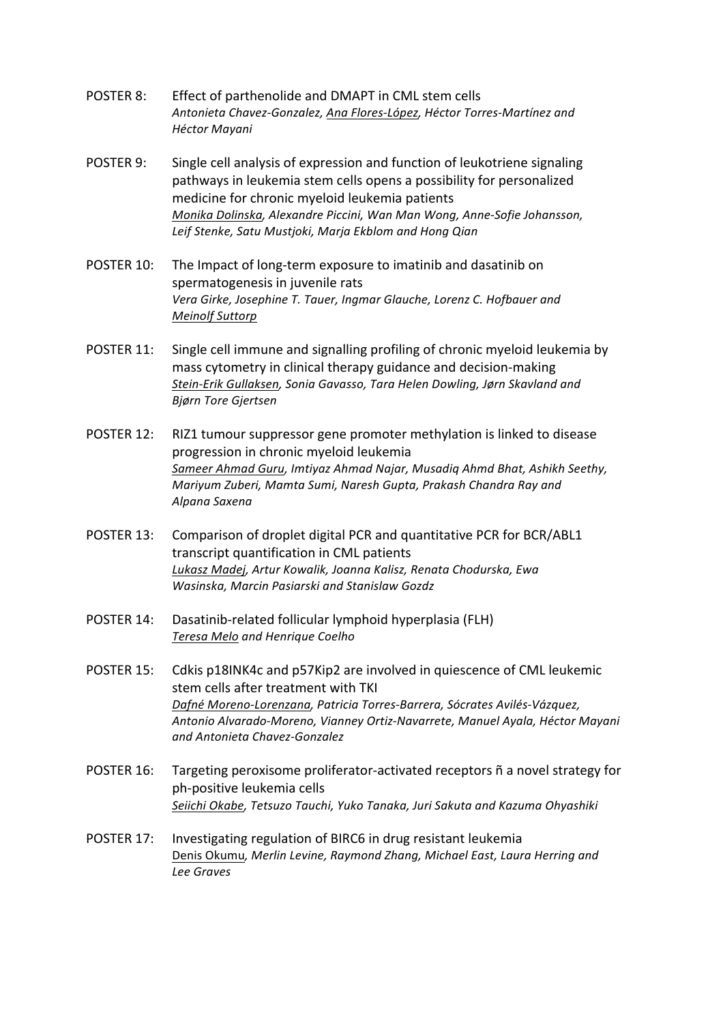- POSTER 8: Effect of parthenolide and DMAPT in CML stem cells *Antonieta Chavez-Gonzalez, Ana Flores-López, Héctor Torres-Martínez and Héctor Mayani*
- POSTER 9: Single cell analysis of expression and function of leukotriene signaling pathways in leukemia stem cells opens a possibility for personalized medicine for chronic myeloid leukemia patients *Monika Dolinska, Alexandre Piccini, Wan Man Wong, Anne-Sofie Johansson,*  Leif Stenke, Satu Mustjoki, Marja Ekblom and Hong Qian
- POSTER 10: The Impact of long-term exposure to imatinib and dasatinib on spermatogenesis in juvenile rats Vera Girke, Josephine T. Tauer, Ingmar Glauche, Lorenz C. Hofbauer and *Meinolf Suttorp*
- POSTER 11: Single cell immune and signalling profiling of chronic myeloid leukemia by mass cytometry in clinical therapy guidance and decision-making *Stein-Erik Gullaksen, Sonia Gavasso, Tara Helen Dowling, Jørn Skavland and Bjørn Tore Gjertsen*
- POSTER 12: RIZ1 tumour suppressor gene promoter methylation is linked to disease progression in chronic myeloid leukemia Sameer Ahmad Guru, Imtiyaz Ahmad Najar, Musadiq Ahmd Bhat, Ashikh Seethy, *Mariyum Zuberi, Mamta Sumi, Naresh Gupta, Prakash Chandra Ray and Alpana Saxena*
- POSTER 13: Comparison of droplet digital PCR and quantitative PCR for BCR/ABL1 transcript quantification in CML patients *Lukasz Madej, Artur Kowalik, Joanna Kalisz, Renata Chodurska, Ewa Wasinska, Marcin Pasiarski and Stanislaw Gozdz*
- POSTER 14: Dasatinib-related follicular lymphoid hyperplasia (FLH) *Teresa Melo and Henrique Coelho*
- POSTER 15: Cdkis p18INK4c and p57Kip2 are involved in quiescence of CML leukemic stem cells after treatment with TKI *Dafné Moreno-Lorenzana, Patricia Torres-Barrera, Sócrates Avilés-Vázquez, Antonio Alvarado-Moreno, Vianney Ortiz-Navarrete, Manuel Ayala, Héctor Mayani and Antonieta Chavez-Gonzalez*
- POSTER 16: Targeting peroxisome proliferator-activated receptors  $\tilde{n}$  a novel strategy for ph-positive leukemia cells *Seiichi Okabe, Tetsuzo Tauchi, Yuko Tanaka, Juri Sakuta and Kazuma Ohyashiki*
- POSTER 17: Investigating regulation of BIRC6 in drug resistant leukemia Denis Okumu, Merlin Levine, Raymond Zhang, Michael East, Laura Herring and *Lee Graves*